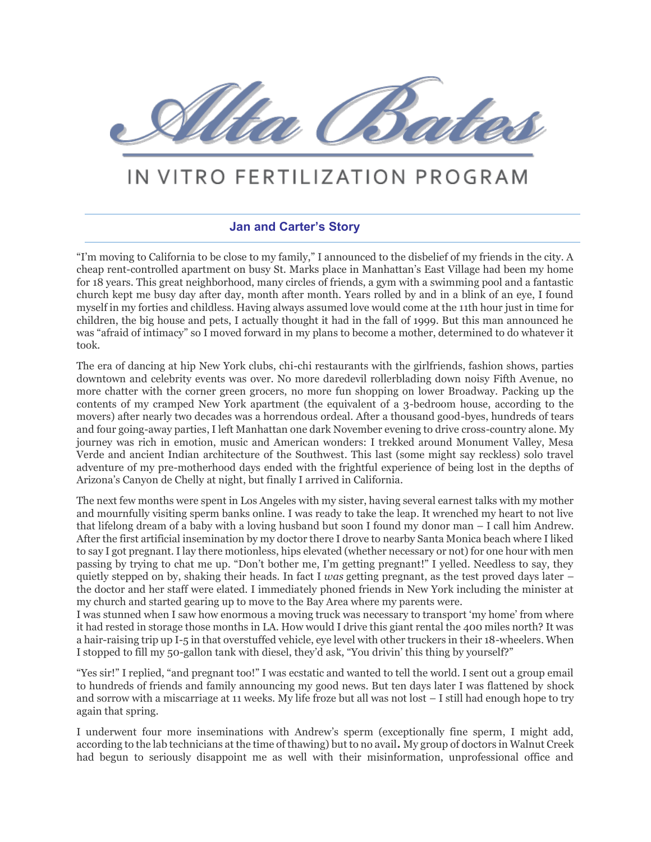

## IN VITRO FERTILIZATION PROGRAM

## **Jan and Carter's Story**

"I'm moving to California to be close to my family," I announced to the disbelief of my friends in the city. A cheap rent-controlled apartment on busy St. Marks place in Manhattan's East Village had been my home for 18 years. This great neighborhood, many circles of friends, a gym with a swimming pool and a fantastic church kept me busy day after day, month after month. Years rolled by and in a blink of an eye, I found myself in my forties and childless. Having always assumed love would come at the 11th hour just in time for children, the big house and pets, I actually thought it had in the fall of 1999. But this man announced he was "afraid of intimacy" so I moved forward in my plans to become a mother, determined to do whatever it took.

The era of dancing at hip New York clubs, chi-chi restaurants with the girlfriends, fashion shows, parties downtown and celebrity events was over. No more daredevil rollerblading down noisy Fifth Avenue, no more chatter with the corner green grocers, no more fun shopping on lower Broadway. Packing up the contents of my cramped New York apartment (the equivalent of a 3-bedroom house, according to the movers) after nearly two decades was a horrendous ordeal. After a thousand good-byes, hundreds of tears and four going-away parties, I left Manhattan one dark November evening to drive cross-country alone. My journey was rich in emotion, music and American wonders: I trekked around Monument Valley, Mesa Verde and ancient Indian architecture of the Southwest. This last (some might say reckless) solo travel adventure of my pre-motherhood days ended with the frightful experience of being lost in the depths of Arizona's Canyon de Chelly at night, but finally I arrived in California.

The next few months were spent in Los Angeles with my sister, having several earnest talks with my mother and mournfully visiting sperm banks online. I was ready to take the leap. It wrenched my heart to not live that lifelong dream of a baby with a loving husband but soon I found my donor man – I call him Andrew. After the first artificial insemination by my doctor there I drove to nearby Santa Monica beach where I liked to say I got pregnant. I lay there motionless, hips elevated (whether necessary or not) for one hour with men passing by trying to chat me up. "Don't bother me, I'm getting pregnant!" I yelled. Needless to say, they quietly stepped on by, shaking their heads. In fact I *was* getting pregnant, as the test proved days later – the doctor and her staff were elated. I immediately phoned friends in New York including the minister at my church and started gearing up to move to the Bay Area where my parents were.

I was stunned when I saw how enormous a moving truck was necessary to transport 'my home' from where it had rested in storage those months in LA. How would I drive this giant rental the 400 miles north? It was a hair-raising trip up I-5 in that overstuffed vehicle, eye level with other truckers in their 18-wheelers. When I stopped to fill my 50-gallon tank with diesel, they'd ask, "You drivin' this thing by yourself?"

"Yes sir!" I replied, "and pregnant too!" I was ecstatic and wanted to tell the world. I sent out a group email to hundreds of friends and family announcing my good news. But ten days later I was flattened by shock and sorrow with a miscarriage at 11 weeks. My life froze but all was not lost – I still had enough hope to try again that spring.

I underwent four more inseminations with Andrew's sperm (exceptionally fine sperm, I might add, according to the lab technicians at the time of thawing) but to no avail**.** My group of doctors in Walnut Creek had begun to seriously disappoint me as well with their misinformation, unprofessional office and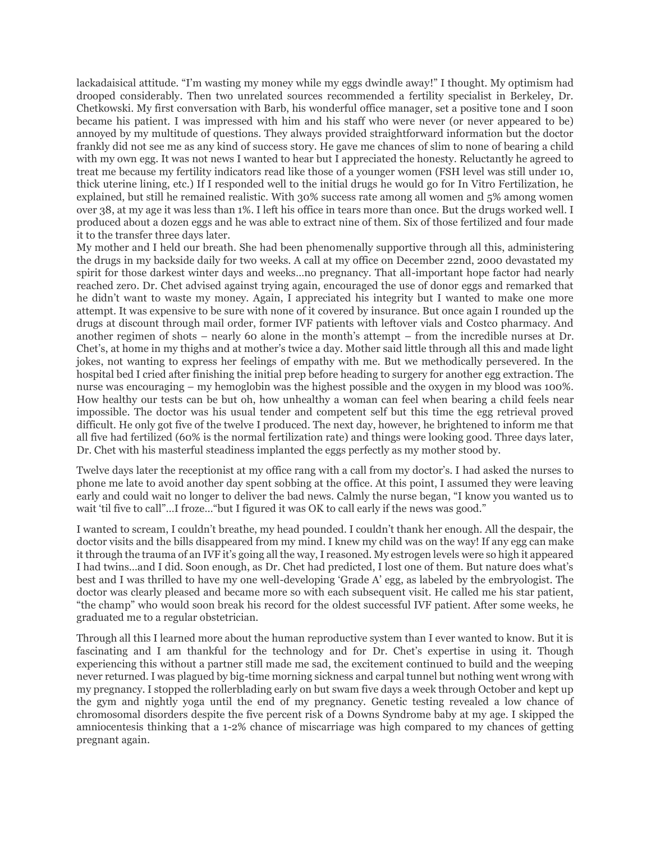lackadaisical attitude. "I'm wasting my money while my eggs dwindle away!" I thought. My optimism had drooped considerably. Then two unrelated sources recommended a fertility specialist in Berkeley, Dr. Chetkowski. My first conversation with Barb, his wonderful office manager, set a positive tone and I soon became his patient. I was impressed with him and his staff who were never (or never appeared to be) annoyed by my multitude of questions. They always provided straightforward information but the doctor frankly did not see me as any kind of success story. He gave me chances of slim to none of bearing a child with my own egg. It was not news I wanted to hear but I appreciated the honesty. Reluctantly he agreed to treat me because my fertility indicators read like those of a younger women (FSH level was still under 10, thick uterine lining, etc.) If I responded well to the initial drugs he would go for In Vitro Fertilization, he explained, but still he remained realistic. With 30% success rate among all women and 5% among women over 38, at my age it was less than 1%. I left his office in tears more than once. But the drugs worked well. I produced about a dozen eggs and he was able to extract nine of them. Six of those fertilized and four made it to the transfer three days later.

My mother and I held our breath. She had been phenomenally supportive through all this, administering the drugs in my backside daily for two weeks. A call at my office on December 22nd, 2000 devastated my spirit for those darkest winter days and weeks…no pregnancy. That all-important hope factor had nearly reached zero. Dr. Chet advised against trying again, encouraged the use of donor eggs and remarked that he didn't want to waste my money. Again, I appreciated his integrity but I wanted to make one more attempt. It was expensive to be sure with none of it covered by insurance. But once again I rounded up the drugs at discount through mail order, former IVF patients with leftover vials and Costco pharmacy. And another regimen of shots – nearly 60 alone in the month's attempt – from the incredible nurses at Dr. Chet's, at home in my thighs and at mother's twice a day. Mother said little through all this and made light jokes, not wanting to express her feelings of empathy with me. But we methodically persevered. In the hospital bed I cried after finishing the initial prep before heading to surgery for another egg extraction. The nurse was encouraging – my hemoglobin was the highest possible and the oxygen in my blood was 100%. How healthy our tests can be but oh, how unhealthy a woman can feel when bearing a child feels near impossible. The doctor was his usual tender and competent self but this time the egg retrieval proved difficult. He only got five of the twelve I produced. The next day, however, he brightened to inform me that all five had fertilized (60% is the normal fertilization rate) and things were looking good. Three days later, Dr. Chet with his masterful steadiness implanted the eggs perfectly as my mother stood by.

Twelve days later the receptionist at my office rang with a call from my doctor's. I had asked the nurses to phone me late to avoid another day spent sobbing at the office. At this point, I assumed they were leaving early and could wait no longer to deliver the bad news. Calmly the nurse began, "I know you wanted us to wait 'til five to call"…I froze…"but I figured it was OK to call early if the news was good."

I wanted to scream, I couldn't breathe, my head pounded. I couldn't thank her enough. All the despair, the doctor visits and the bills disappeared from my mind. I knew my child was on the way! If any egg can make it through the trauma of an IVF it's going all the way, I reasoned. My estrogen levels were so high it appeared I had twins…and I did. Soon enough, as Dr. Chet had predicted, I lost one of them. But nature does what's best and I was thrilled to have my one well-developing 'Grade A' egg, as labeled by the embryologist. The doctor was clearly pleased and became more so with each subsequent visit. He called me his star patient, "the champ" who would soon break his record for the oldest successful IVF patient. After some weeks, he graduated me to a regular obstetrician.

Through all this I learned more about the human reproductive system than I ever wanted to know. But it is fascinating and I am thankful for the technology and for Dr. Chet's expertise in using it. Though experiencing this without a partner still made me sad, the excitement continued to build and the weeping never returned. I was plagued by big-time morning sickness and carpal tunnel but nothing went wrong with my pregnancy. I stopped the rollerblading early on but swam five days a week through October and kept up the gym and nightly yoga until the end of my pregnancy. Genetic testing revealed a low chance of chromosomal disorders despite the five percent risk of a Downs Syndrome baby at my age. I skipped the amniocentesis thinking that a 1-2% chance of miscarriage was high compared to my chances of getting pregnant again.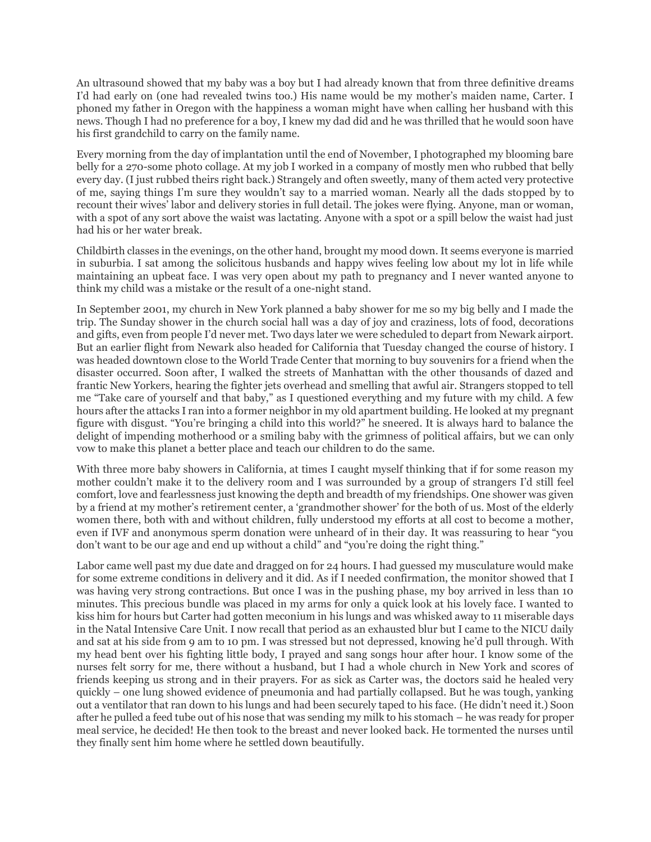An ultrasound showed that my baby was a boy but I had already known that from three definitive dreams I'd had early on (one had revealed twins too.) His name would be my mother's maiden name, Carter. I phoned my father in Oregon with the happiness a woman might have when calling her husband with this news. Though I had no preference for a boy, I knew my dad did and he was thrilled that he would soon have his first grandchild to carry on the family name.

Every morning from the day of implantation until the end of November, I photographed my blooming bare belly for a 270-some photo collage. At my job I worked in a company of mostly men who rubbed that belly every day. (I just rubbed theirs right back.) Strangely and often sweetly, many of them acted very protective of me, saying things I'm sure they wouldn't say to a married woman. Nearly all the dads stopped by to recount their wives' labor and delivery stories in full detail. The jokes were flying. Anyone, man or woman, with a spot of any sort above the waist was lactating. Anyone with a spot or a spill below the waist had just had his or her water break.

Childbirth classes in the evenings, on the other hand, brought my mood down. It seems everyone is married in suburbia. I sat among the solicitous husbands and happy wives feeling low about my lot in life while maintaining an upbeat face. I was very open about my path to pregnancy and I never wanted anyone to think my child was a mistake or the result of a one-night stand.

In September 2001, my church in New York planned a baby shower for me so my big belly and I made the trip. The Sunday shower in the church social hall was a day of joy and craziness, lots of food, decorations and gifts, even from people I'd never met. Two days later we were scheduled to depart from Newark airport. But an earlier flight from Newark also headed for California that Tuesday changed the course of history. I was headed downtown close to the World Trade Center that morning to buy souvenirs for a friend when the disaster occurred. Soon after, I walked the streets of Manhattan with the other thousands of dazed and frantic New Yorkers, hearing the fighter jets overhead and smelling that awful air. Strangers stopped to tell me "Take care of yourself and that baby," as I questioned everything and my future with my child. A few hours after the attacks I ran into a former neighbor in my old apartment building. He looked at my pregnant figure with disgust. "You're bringing a child into this world?" he sneered. It is always hard to balance the delight of impending motherhood or a smiling baby with the grimness of political affairs, but we can only vow to make this planet a better place and teach our children to do the same.

With three more baby showers in California, at times I caught myself thinking that if for some reason my mother couldn't make it to the delivery room and I was surrounded by a group of strangers I'd still feel comfort, love and fearlessness just knowing the depth and breadth of my friendships. One shower was given by a friend at my mother's retirement center, a 'grandmother shower' for the both of us. Most of the elderly women there, both with and without children, fully understood my efforts at all cost to become a mother, even if IVF and anonymous sperm donation were unheard of in their day. It was reassuring to hear "you don't want to be our age and end up without a child" and "you're doing the right thing."

Labor came well past my due date and dragged on for 24 hours. I had guessed my musculature would make for some extreme conditions in delivery and it did. As if I needed confirmation, the monitor showed that I was having very strong contractions. But once I was in the pushing phase, my boy arrived in less than 10 minutes. This precious bundle was placed in my arms for only a quick look at his lovely face. I wanted to kiss him for hours but Carter had gotten meconium in his lungs and was whisked away to 11 miserable days in the Natal Intensive Care Unit. I now recall that period as an exhausted blur but I came to the NICU daily and sat at his side from 9 am to 10 pm. I was stressed but not depressed, knowing he'd pull through. With my head bent over his fighting little body, I prayed and sang songs hour after hour. I know some of the nurses felt sorry for me, there without a husband, but I had a whole church in New York and scores of friends keeping us strong and in their prayers. For as sick as Carter was, the doctors said he healed very quickly – one lung showed evidence of pneumonia and had partially collapsed. But he was tough, yanking out a ventilator that ran down to his lungs and had been securely taped to his face. (He didn't need it.) Soon after he pulled a feed tube out of his nose that was sending my milk to his stomach – he was ready for proper meal service, he decided! He then took to the breast and never looked back. He tormented the nurses until they finally sent him home where he settled down beautifully.